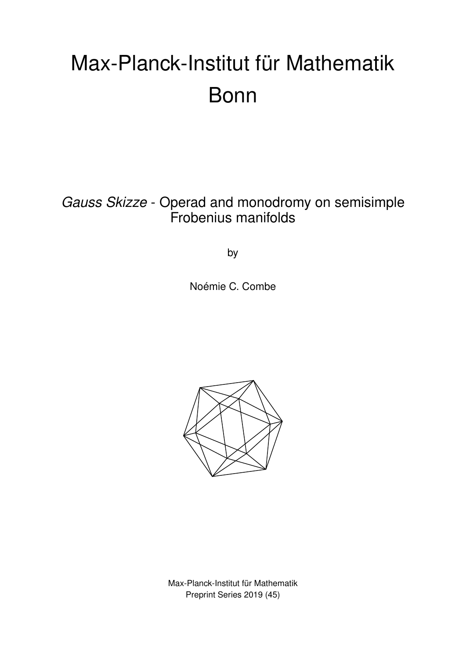# Max-Planck-Institut für Mathematik Bonn

*Gauss Skizze* - Operad and monodromy on semisimple Frobenius manifolds

by

Noémie C. Combe



Max-Planck-Institut für Mathematik Preprint Series 2019 (45)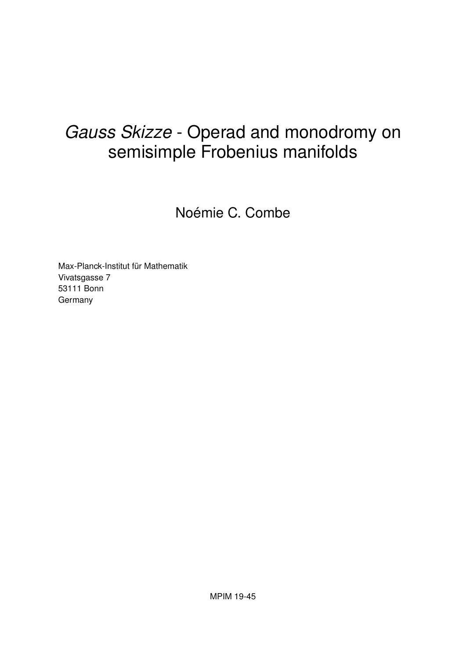# *Gauss Skizze* - Operad and monodromy on semisimple Frobenius manifolds

Noémie C. Combe

Max-Planck-Institut für Mathematik Vivatsgasse 7 53111 Bonn Germany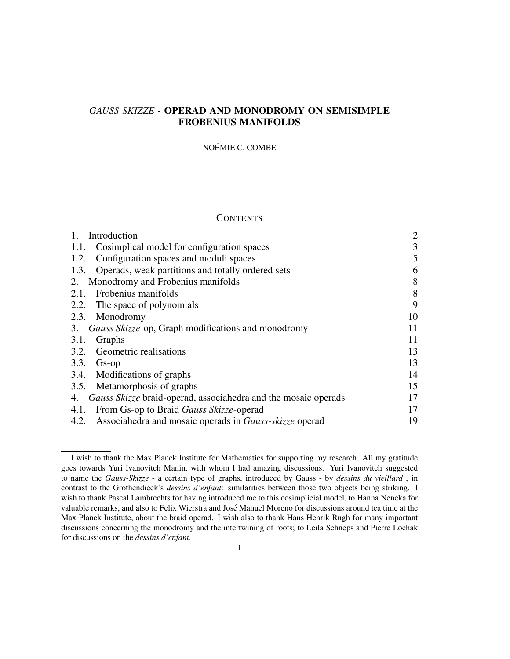# *GAUSS SKIZZE* - OPERAD AND MONODROMY ON SEMISIMPLE FROBENIUS MANIFOLDS

#### NOÉMIE C. COMBE

#### **CONTENTS**

| Introduction                                                       | $\overline{2}$ |
|--------------------------------------------------------------------|----------------|
| Cosimplical model for configuration spaces<br>1.1.                 | 3              |
| Configuration spaces and moduli spaces<br>1.2.                     | 5              |
| Operads, weak partitions and totally ordered sets<br>1.3.          | 6              |
| Monodromy and Frobenius manifolds<br>2.                            | 8              |
| Frobenius manifolds<br>2.1.                                        | 8              |
| 2.2. The space of polynomials                                      | 9              |
| 2.3. Monodromy                                                     | 10             |
| 3. Gauss Skizze-op, Graph modifications and monodromy              | 11             |
| Graphs<br>3.1.                                                     | 11             |
| <b>Geometric realisations</b><br>3.2.                              | 13             |
| 3.3.<br>$Gs$ -op                                                   | 13             |
| 3.4. Modifications of graphs                                       | 14             |
| 3.5. Metamorphosis of graphs                                       | 15             |
| 4. Gauss Skizze braid-operad, associahedra and the mosaic operads  | 17             |
| From Gs-op to Braid <i>Gauss Skizze</i> -operad<br>4.1.            | 17             |
| 4.2. Associahedra and mosaic operads in <i>Gauss-skizze</i> operad | 19             |

I wish to thank the Max Planck Institute for Mathematics for supporting my research. All my gratitude goes towards Yuri Ivanovitch Manin, with whom I had amazing discussions. Yuri Ivanovitch suggested to name the *Gauss-Skizze* - a certain type of graphs, introduced by Gauss - by *dessins du vieillard* , in contrast to the Grothendieck's *dessins d'enfant*: similarities between those two objects being striking. I wish to thank Pascal Lambrechts for having introduced me to this cosimplicial model, to Hanna Nencka for valuable remarks, and also to Felix Wierstra and Jose Manuel Moreno for discussions around tea time at the ´ Max Planck Institute, about the braid operad. I wish also to thank Hans Henrik Rugh for many important discussions concerning the monodromy and the intertwining of roots; to Leila Schneps and Pierre Lochak for discussions on the *dessins d'enfant*.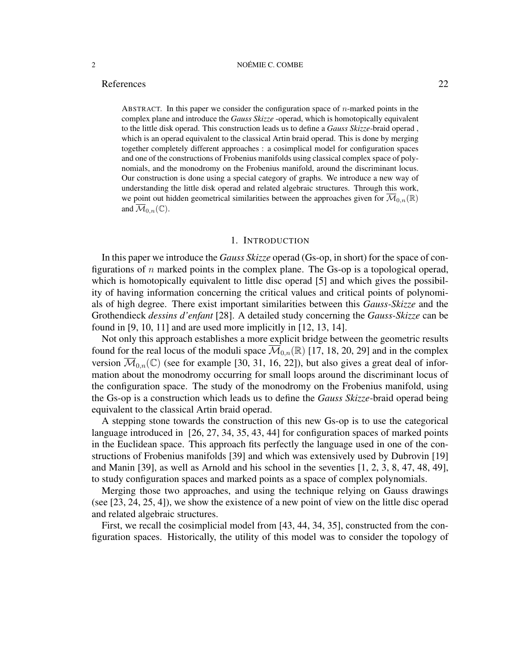# References 22

ABSTRACT. In this paper we consider the configuration space of n-marked points in the complex plane and introduce the *Gauss Skizze* -operad, which is homotopically equivalent to the little disk operad. This construction leads us to define a *Gauss Skizze*-braid operad , which is an operad equivalent to the classical Artin braid operad. This is done by merging together completely different approaches : a cosimplical model for configuration spaces and one of the constructions of Frobenius manifolds using classical complex space of polynomials, and the monodromy on the Frobenius manifold, around the discriminant locus. Our construction is done using a special category of graphs. We introduce a new way of understanding the little disk operad and related algebraic structures. Through this work, we point out hidden geometrical similarities between the approaches given for  $\overline{\mathcal{M}}_{0,n}(\mathbb{R})$ and  $\overline{\mathcal{M}}_{0,n}(\mathbb{C})$ .

#### 1. INTRODUCTION

In this paper we introduce the *Gauss Skizze* operad (Gs-op, in short) for the space of configurations of  $n$  marked points in the complex plane. The Gs-op is a topological operad, which is homotopically equivalent to little disc operad [5] and which gives the possibility of having information concerning the critical values and critical points of polynomials of high degree. There exist important similarities between this *Gauss-Skizze* and the Grothendieck *dessins d'enfant* [28]. A detailed study concerning the *Gauss-Skizze* can be found in [9, 10, 11] and are used more implicitly in [12, 13, 14].

Not only this approach establishes a more explicit bridge between the geometric results found for the real locus of the moduli space  $\overline{\mathcal{M}}_{0,n}(\mathbb{R})$  [17, 18, 20, 29] and in the complex version  $\overline{\mathcal{M}}_{0,n}(\mathbb{C})$  (see for example [30, 31, 16, 22]), but also gives a great deal of information about the monodromy occurring for small loops around the discriminant locus of the configuration space. The study of the monodromy on the Frobenius manifold, using the Gs-op is a construction which leads us to define the *Gauss Skizze*-braid operad being equivalent to the classical Artin braid operad.

A stepping stone towards the construction of this new Gs-op is to use the categorical language introduced in [26, 27, 34, 35, 43, 44] for configuration spaces of marked points in the Euclidean space. This approach fits perfectly the language used in one of the constructions of Frobenius manifolds [39] and which was extensively used by Dubrovin [19] and Manin [39], as well as Arnold and his school in the seventies [1, 2, 3, 8, 47, 48, 49], to study configuration spaces and marked points as a space of complex polynomials.

Merging those two approaches, and using the technique relying on Gauss drawings (see [23, 24, 25, 4]), we show the existence of a new point of view on the little disc operad and related algebraic structures.

First, we recall the cosimplicial model from [43, 44, 34, 35], constructed from the configuration spaces. Historically, the utility of this model was to consider the topology of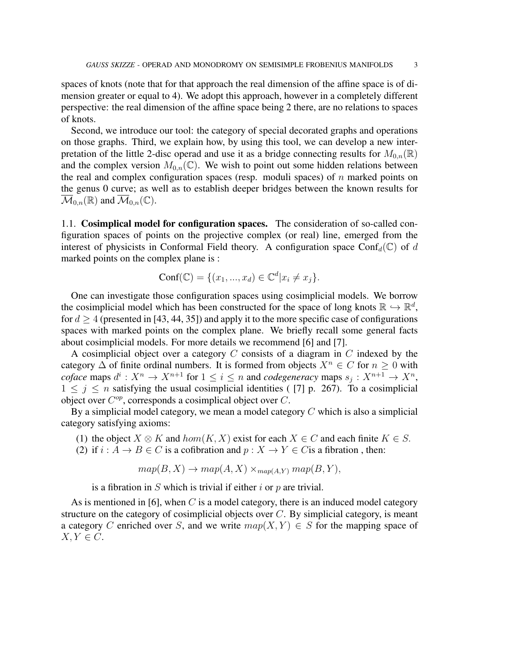spaces of knots (note that for that approach the real dimension of the affine space is of dimension greater or equal to 4). We adopt this approach, however in a completely different perspective: the real dimension of the affine space being 2 there, are no relations to spaces of knots.

Second, we introduce our tool: the category of special decorated graphs and operations on those graphs. Third, we explain how, by using this tool, we can develop a new interpretation of the little 2-disc operad and use it as a bridge connecting results for  $M_{0,n}(\mathbb{R})$ and the complex version  $M_{0,n}(\mathbb{C})$ . We wish to point out some hidden relations between the real and complex configuration spaces (resp. moduli spaces) of  $n$  marked points on the genus 0 curve; as well as to establish deeper bridges between the known results for  $\mathcal{M}_{0,n}(\mathbb{R})$  and  $\mathcal{M}_{0,n}(\mathbb{C})$ .

1.1. Cosimplical model for configuration spaces. The consideration of so-called configuration spaces of points on the projective complex (or real) line, emerged from the interest of physicists in Conformal Field theory. A configuration space Conf $_d(\mathbb{C})$  of d marked points on the complex plane is :

$$
Conf(\mathbb{C}) = \{ (x_1, ..., x_d) \in \mathbb{C}^d | x_i \neq x_j \}.
$$

One can investigate those configuration spaces using cosimplicial models. We borrow the cosimplicial model which has been constructed for the space of long knots  $\mathbb{R} \hookrightarrow \mathbb{R}^d$ , for  $d \geq 4$  (presented in [43, 44, 35]) and apply it to the more specific case of configurations spaces with marked points on the complex plane. We briefly recall some general facts about cosimplicial models. For more details we recommend [6] and [7].

A cosimplicial object over a category C consists of a diagram in C indexed by the category  $\Delta$  of finite ordinal numbers. It is formed from objects  $X^n \in C$  for  $n \geq 0$  with *coface* maps  $d^i: X^n \to X^{n+1}$  for  $1 \leq i \leq n$  and *codegeneracy* maps  $s_j: X^{n+1} \to X^n$ ,  $1 \leq j \leq n$  satisfying the usual cosimplicial identities ([7] p. 267). To a cosimplicial object over  $C^{op}$ , corresponds a cosimplical object over  $C$ .

By a simplicial model category, we mean a model category  $C$  which is also a simplicial category satisfying axioms:

- (1) the object  $X \otimes K$  and  $hom(K, X)$  exist for each  $X \in C$  and each finite  $K \in S$ .
- (2) if  $i : A \to B \in C$  is a cofibration and  $p : X \to Y \in C$  is a fibration, then:

$$
map(B, X) \to map(A, X) \times_{map(A, Y)} map(B, Y),
$$

is a fibration in S which is trivial if either i or p are trivial.

As is mentioned in [6], when C is a model category, there is an induced model category structure on the category of cosimplicial objects over  $C$ . By simplicial category, is meant a category C enriched over S, and we write  $map(X, Y) \in S$  for the mapping space of  $X, Y \in C$ .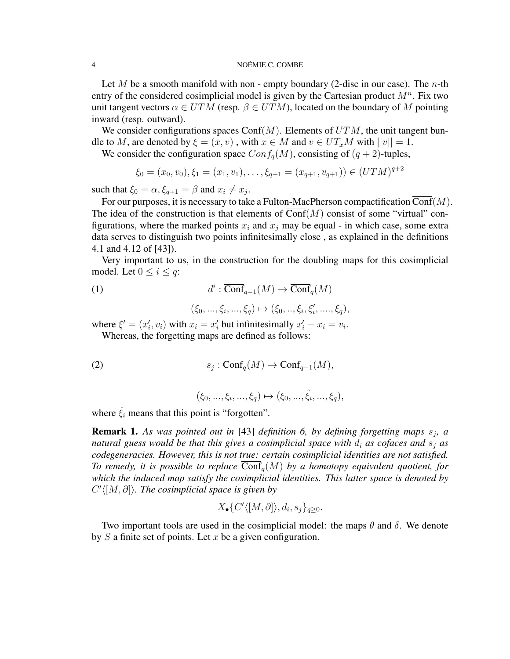Let M be a smooth manifold with non - empty boundary (2-disc in our case). The n-th entry of the considered cosimplicial model is given by the Cartesian product  $M<sup>n</sup>$ . Fix two unit tangent vectors  $\alpha \in UTM$  (resp.  $\beta \in UTM$ ), located on the boundary of M pointing inward (resp. outward).

We consider configurations spaces Conf $(M)$ . Elements of  $UTM$ , the unit tangent bundle to M, are denoted by  $\xi = (x, v)$ , with  $x \in M$  and  $v \in UT_xM$  with  $||v|| = 1$ .

We consider the configuration space  $Conf_q(M)$ , consisting of  $(q + 2)$ -tuples,

$$
\xi_0 = (x_0, v_0), \xi_1 = (x_1, v_1), \dots, \xi_{q+1} = (x_{q+1}, v_{q+1})) \in (UTM)^{q+2}
$$

such that  $\xi_0 = \alpha, \xi_{q+1} = \beta$  and  $x_i \neq x_j$ .

For our purposes, it is necessary to take a Fulton-MacPherson compactification  $\overline{\text{Conf}}(M)$ . The idea of the construction is that elements of  $Conf(M)$  consist of some "virtual" configurations, where the marked points  $x_i$  and  $x_j$  may be equal - in which case, some extra data serves to distinguish two points infinitesimally close , as explained in the definitions 4.1 and 4.12 of [43]).

Very important to us, in the construction for the doubling maps for this cosimplicial model. Let  $0 \leq i \leq q$ :

(1) 
$$
d^i : \overline{\text{Conf}}_{q-1}(M) \to \overline{\text{Conf}}_q(M)
$$

$$
(\xi_0, ..., \xi_i, ..., \xi_q) \mapsto (\xi_0, ..., \xi_i, \xi'_i, ..., \xi_q),
$$

where  $\xi' = (x'_i, v_i)$  with  $x_i = x'_i$  but infinitesimally  $x'_i - x_i = v_i$ . Whereas, the forgetting maps are defined as follows:

(2) 
$$
s_j : \overline{\text{Conf}}_q(M) \to \overline{\text{Conf}}_{q-1}(M),
$$

$$
(\xi_0, ..., \xi_i, ..., \xi_q) \mapsto (\xi_0, ..., \hat{\xi}_i, ..., \xi_q),
$$

where  $\hat{\xi}_i$  means that this point is "forgotten".

**Remark 1.** As was pointed out in [43] definition 6, by defining forgetting maps  $s_j$ , a *natural guess would be that this gives a cosimplicial space with*  $d_i$  *as cofaces and*  $s_j$  *as codegeneracies. However, this is not true: certain cosimplicial identities are not satisfied. To remedy, it is possible to replace*  $\text{Conf}_q(M)$  *by a homotopy equivalent quotient, for which the induced map satisfy the cosimplicial identities. This latter space is denoted by*  $C' \langle [M, \partial] \rangle$ . The cosimplicial space is given by

$$
X_{\bullet}\{C' \langle [M, \partial] \rangle, d_i, s_j\}_{q \ge 0}.
$$

Two important tools are used in the cosimplicial model: the maps  $\theta$  and  $\delta$ . We denote by  $S$  a finite set of points. Let  $x$  be a given configuration.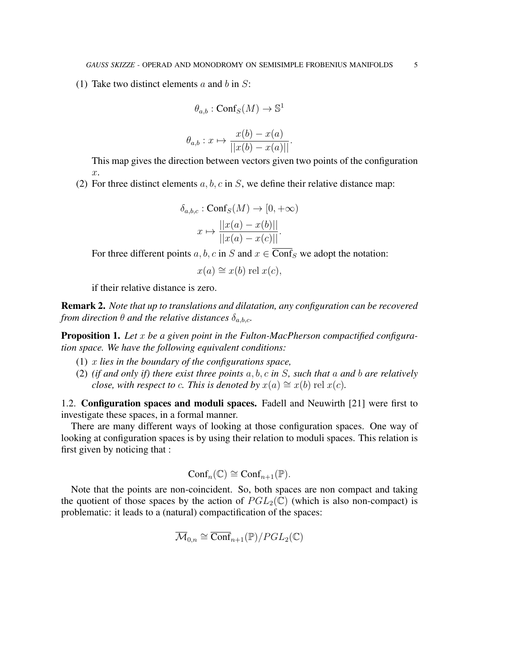(1) Take two distinct elements  $a$  and  $b$  in  $S$ :

$$
\theta_{a,b} : \mathrm{Conf}_S(M) \to \mathbb{S}^1
$$

$$
\theta_{a,b}: x \mapsto \frac{x(b) - x(a)}{||x(b) - x(a)||}.
$$

This map gives the direction between vectors given two points of the configuration  $\mathcal{X}$ .

(2) For three distinct elements  $a, b, c$  in S, we define their relative distance map:

$$
\delta_{a,b,c} : \text{Conf}_S(M) \to [0, +\infty)
$$

$$
x \mapsto \frac{||x(a) - x(b)||}{||x(a) - x(c)||}.
$$

For three different points a, b, c in S and  $x \in \overline{\text{Conf}}_S$  we adopt the notation:

 $x(a) \cong x(b)$  rel  $x(c)$ ,

if their relative distance is zero.

Remark 2. *Note that up to translations and dilatation, any configuration can be recovered from direction*  $\theta$  *and the relative distances*  $\delta_{a,b,c}$ *.* 

Proposition 1. *Let* x *be a given point in the Fulton-MacPherson compactified configuration space. We have the following equivalent conditions:*

- (1) x *lies in the boundary of the configurations space,*
- (2) *(if and only if) there exist three points* a, b, c *in* S*, such that* a *and* b *are relatively close, with respect to c. This is denoted by*  $x(a) \cong x(b)$  rel  $x(c)$ *.*

1.2. Configuration spaces and moduli spaces. Fadell and Neuwirth [21] were first to investigate these spaces, in a formal manner.

There are many different ways of looking at those configuration spaces. One way of looking at configuration spaces is by using their relation to moduli spaces. This relation is first given by noticing that :

$$
Conf_n(\mathbb{C}) \cong Conf_{n+1}(\mathbb{P}).
$$

Note that the points are non-coincident. So, both spaces are non compact and taking the quotient of those spaces by the action of  $PGL_2(\mathbb{C})$  (which is also non-compact) is problematic: it leads to a (natural) compactification of the spaces:

$$
\overline{\mathcal{M}}_{0,n} \cong \overline{\text{Conf}}_{n+1}(\mathbb{P})/PGL_2(\mathbb{C})
$$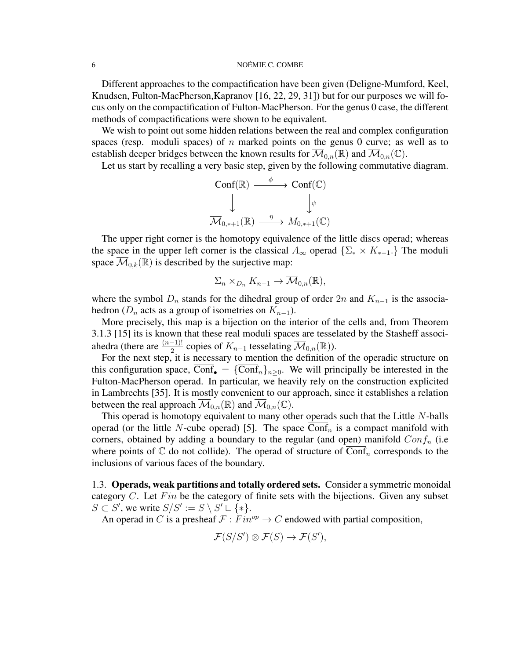Different approaches to the compactification have been given (Deligne-Mumford, Keel, Knudsen, Fulton-MacPherson,Kapranov [16, 22, 29, 31]) but for our purposes we will focus only on the compactification of Fulton-MacPherson. For the genus 0 case, the different methods of compactifications were shown to be equivalent.

We wish to point out some hidden relations between the real and complex configuration spaces (resp. moduli spaces) of n marked points on the genus 0 curve; as well as to establish deeper bridges between the known results for  $\overline{\mathcal{M}}_{0,n}(\mathbb{R})$  and  $\overline{\mathcal{M}}_{0,n}(\mathbb{C})$ .

Let us start by recalling a very basic step, given by the following commutative diagram.

$$
\operatorname{Conf}(\mathbb{R}) \xrightarrow{\phi} \operatorname{Conf}(\mathbb{C})
$$
  

$$
\downarrow^{\psi}
$$
  

$$
\overline{\mathcal{M}}_{0,*+1}(\mathbb{R}) \xrightarrow{\eta} M_{0,*+1}(\mathbb{C})
$$

The upper right corner is the homotopy equivalence of the little discs operad; whereas the space in the upper left corner is the classical  $A_{\infty}$  operad  $\{\Sigma_{*} \times K_{*-1} \}$ . The moduli space  $\mathcal{M}_{0,k}(\mathbb{R})$  is described by the surjective map:

$$
\Sigma_n \times_{D_n} K_{n-1} \to \overline{\mathcal{M}}_{0,n}(\mathbb{R}),
$$

where the symbol  $D_n$  stands for the dihedral group of order 2n and  $K_{n-1}$  is the associahedron ( $D_n$  acts as a group of isometries on  $K_{n-1}$ ).

More precisely, this map is a bijection on the interior of the cells and, from Theorem 3.1.3 [15] its is known that these real moduli spaces are tesselated by the Stasheff associahedra (there are  $\frac{(n-1)!}{2}$  copies of  $K_{n-1}$  tesselating  $\overline{\mathcal{M}}_{0,n}(\mathbb{R})$ ).

For the next step, it is necessary to mention the definition of the operadic structure on this configuration space, Conf<sub>o</sub> = {Conf<sub>n</sub>}<sub>n>0</sub>. We will principally be interested in the Fulton-MacPherson operad. In particular, we heavily rely on the construction explicited in Lambrechts [35]. It is mostly convenient to our approach, since it establishes a relation between the real approach  $\mathcal{M}_{0,n}(\mathbb{R})$  and  $\mathcal{M}_{0,n}(\mathbb{C})$ .

This operad is homotopy equivalent to many other operads such that the Little  $N$ -balls operad (or the little N-cube operad) [5]. The space  $Conf_n$  is a compact manifold with corners, obtained by adding a boundary to the regular (and open) manifold  $Conf_n$  (i.e where points of  $\mathbb C$  do not collide). The operad of structure of Conf<sub>n</sub> corresponds to the inclusions of various faces of the boundary.

1.3. Operads, weak partitions and totally ordered sets. Consider a symmetric monoidal category  $C$ . Let  $Fin$  be the category of finite sets with the bijections. Given any subset  $S \subset S'$ , we write  $S/S' := S \setminus S' \sqcup \{*\}.$ 

An operad in C is a presheaf  $\mathcal{F}: Fin^{op} \to C$  endowed with partial composition,

 $\mathcal{F}(S/S') \otimes \mathcal{F}(S) \to \mathcal{F}(S'),$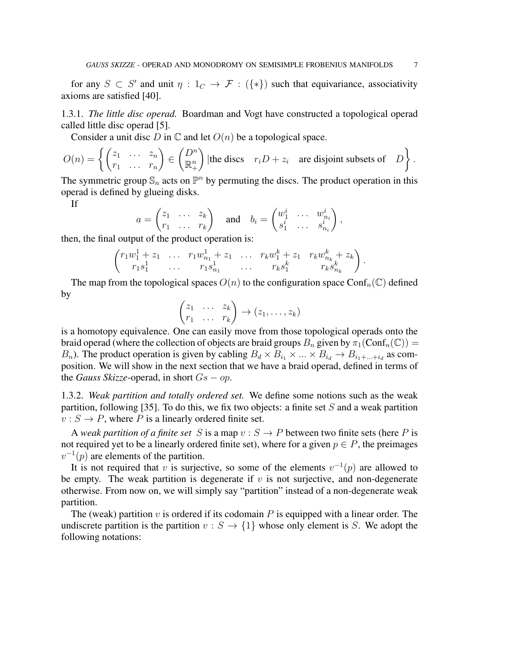for any  $S \subset S'$  and unit  $\eta : 1_C \to \mathcal{F} : (\{*\})$  such that equivariance, associativity axioms are satisfied [40].

1.3.1. *The little disc operad.* Boardman and Vogt have constructed a topological operad called little disc operad [5].

Consider a unit disc D in  $\mathbb C$  and let  $O(n)$  be a topological space.

$$
O(n) = \left\{ \begin{pmatrix} z_1 & \dots & z_n \\ r_1 & \dots & r_n \end{pmatrix} \in \begin{pmatrix} D^n \\ \mathbb{R}^n_+ \end{pmatrix} | \text{the discs} \quad r_i D + z_i \quad \text{are disjoint subsets of} \quad D \right\}.
$$

The symmetric group  $\mathbb{S}_n$  acts on  $\mathbb{P}^n$  by permuting the discs. The product operation in this operad is defined by glueing disks.

If

$$
a = \begin{pmatrix} z_1 & \dots & z_k \\ r_1 & \dots & r_k \end{pmatrix} \quad \text{and} \quad b_i = \begin{pmatrix} w_1^i & \dots & w_{n_i}^i \\ s_1^i & \dots & s_{n_i}^i \end{pmatrix},
$$

then, the final output of the product operation is:

$$
\begin{pmatrix} r_1w_1^1 + z_1 & \dots & r_1w_{n_1}^1 + z_1 & \dots & r_kw_1^k + z_1 & r_kw_{n_k}^k + z_k \\ r_1s_1^1 & \dots & r_1s_{n_1}^1 & \dots & r_ks_1^k & r_ks_{n_k}^k \end{pmatrix}.
$$

The map from the topological spaces  $O(n)$  to the configuration space Conf<sub>n</sub>(C) defined by

$$
\begin{pmatrix} z_1 & \dots & z_k \\ r_1 & \dots & r_k \end{pmatrix} \rightarrow (z_1, \dots, z_k)
$$

is a homotopy equivalence. One can easily move from those topological operads onto the braid operad (where the collection of objects are braid groups  $B_n$  given by  $\pi_1(\text{Conf}_n(\mathbb{C})) =$  $B_n$ ). The product operation is given by cabling  $B_d \times B_{i_1} \times ... \times B_{i_d} \to B_{i_1 + ... + i_d}$  as composition. We will show in the next section that we have a braid operad, defined in terms of the *Gauss Skizze*-operad, in short  $Gs - op$ .

1.3.2. *Weak partition and totally ordered set.* We define some notions such as the weak partition, following [35]. To do this, we fix two objects: a finite set  $S$  and a weak partition  $v : S \to P$ , where P is a linearly ordered finite set.

A *weak partition of a finite set* S is a map  $v : S \to P$  between two finite sets (here P is not required yet to be a linearly ordered finite set), where for a given  $p \in P$ , the preimages  $v^{-1}(p)$  are elements of the partition.

It is not required that v is surjective, so some of the elements  $v^{-1}(p)$  are allowed to be empty. The weak partition is degenerate if  $v$  is not surjective, and non-degenerate otherwise. From now on, we will simply say "partition" instead of a non-degenerate weak partition.

The (weak) partition  $v$  is ordered if its codomain  $P$  is equipped with a linear order. The undiscrete partition is the partition  $v : S \to \{1\}$  whose only element is S. We adopt the following notations: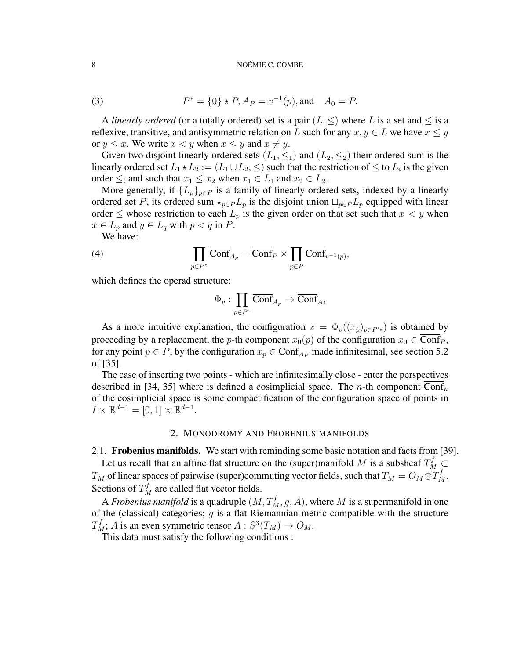(3) 
$$
P^* = \{0\} * P, A_P = v^{-1}(p), \text{and} \quad A_0 = P.
$$

A *linearly ordered* (or a totally ordered) set is a pair  $(L, \leq)$  where L is a set and  $\leq$  is a reflexive, transitive, and antisymmetric relation on L such for any  $x, y \in L$  we have  $x \leq y$ or  $y \leq x$ . We write  $x < y$  when  $x \leq y$  and  $x \neq y$ .

Given two disjoint linearly ordered sets  $(L_1, \leq_1)$  and  $(L_2, \leq_2)$  their ordered sum is the linearly ordered set  $L_1 \star L_2 := (L_1 \cup L_2, \leq)$  such that the restriction of  $\leq$  to  $L_i$  is the given order  $\leq_i$  and such that  $x_1 \leq x_2$  when  $x_1 \in L_1$  and  $x_2 \in L_2$ .

More generally, if  ${L_p}_{p \in P}$  is a family of linearly ordered sets, indexed by a linearly ordered set P, its ordered sum  $\star_{p \in P} L_p$  is the disjoint union  $\sqcup_{p \in P} L_p$  equipped with linear order  $\leq$  whose restriction to each  $L_p$  is the given order on that set such that  $x < y$  when  $x \in L_p$  and  $y \in L_q$  with  $p < q$  in  $P$ .

We have:

(4) 
$$
\prod_{p \in P^*} \overline{\text{Conf}}_{A_p} = \overline{\text{Conf}}_P \times \prod_{p \in P} \overline{\text{Conf}}_{v^{-1}(p)},
$$

which defines the operad structure:

$$
\Phi_v: \prod_{p\in P^*}\overline{\text{Conf}}_{A_p}\to \overline{\text{Conf}}_A,
$$

As a more intuitive explanation, the configuration  $x = \Phi_v((x_p)_{p \in P^*})$  is obtained by proceeding by a replacement, the *p*-th component  $x_0(p)$  of the configuration  $x_0 \in \overline{\text{Conf}_P}$ , for any point  $p \in P$ , by the configuration  $x_p \in \overline{\text{Conf}}_{A_P}$  made infinitesimal, see section 5.2 of [35].

The case of inserting two points - which are infinitesimally close - enter the perspectives described in [34, 35] where is defined a cosimplicial space. The *n*-th component Conf<sub>n</sub> of the cosimplicial space is some compactification of the configuration space of points in  $I \times \mathbb{R}^{d-1} = [0,1] \times \mathbb{R}^{d-1}.$ 

### 2. MONODROMY AND FROBENIUS MANIFOLDS

2.1. **Frobenius manifolds.** We start with reminding some basic notation and facts from [39].

Let us recall that an affine flat structure on the (super)manifold M is a subsheaf  $T_M^f \subset$  $T_M$  of linear spaces of pairwise (super)commuting vector fields, such that  $T_M = O_M \otimes T_M^f$ . Sections of  $T_M^f$  are called flat vector fields.

A *Frobenius manifold* is a quadruple  $(M, T_M^f, g, A)$ , where M is a supermanifold in one of the (classical) categories;  $g$  is a flat Riemannian metric compatible with the structure  $T_M^f$ ; A is an even symmetric tensor  $A: S^3(T_M) \to O_M$ .

This data must satisfy the following conditions :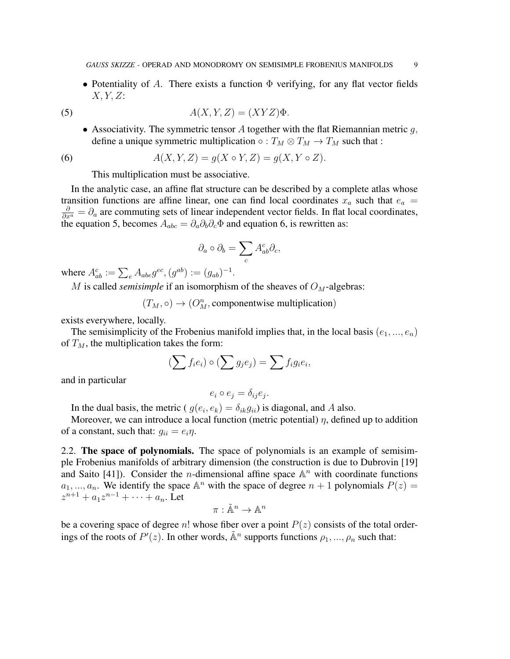• Potentiality of A. There exists a function  $\Phi$  verifying, for any flat vector fields  $X, Y, Z$ :

(5) 
$$
A(X, Y, Z) = (XYZ)\Phi.
$$

• Associativity. The symmetric tensor A together with the flat Riemannian metric  $q$ , define a unique symmetric multiplication  $\circ : T_M \otimes T_M \to T_M$  such that :

(6) 
$$
A(X, Y, Z) = g(X \circ Y, Z) = g(X, Y \circ Z).
$$

This multiplication must be associative.

In the analytic case, an affine flat structure can be described by a complete atlas whose transition functions are affine linear, one can find local coordinates  $x_a$  such that  $e_a$  =  $\frac{\partial}{\partial x^a} = \partial_a$  are commuting sets of linear independent vector fields. In flat local coordinates, the equation 5, becomes  $A_{abc} = \partial_a \partial_b \partial_c \Phi$  and equation 6, is rewritten as:

$$
\partial_a\circ\partial_b=\sum_cA^c_{ab}\partial_c,
$$

where  $A_{ab}^c := \sum_e A_{abe} g^{ec}, (g^{ab}) := (g_{ab})^{-1}.$ 

M is called *semisimple* if an isomorphism of the sheaves of  $O_M$ -algebras:

 $(T_M, \circ) \to (O_M^n,$  componentwise multiplication)

exists everywhere, locally.

The semisimplicity of the Frobenius manifold implies that, in the local basis  $(e_1, ..., e_n)$ of  $T_M$ , the multiplication takes the form:

$$
\left(\sum f_i e_i\right) \circ \left(\sum g_j e_j\right) = \sum f_i g_i e_i,
$$

and in particular

$$
e_i \circ e_j = \delta_{ij} e_j.
$$

In the dual basis, the metric ( $g(e_i, e_k) = \delta_{ik} g_{ii}$ ) is diagonal, and A also.

Moreover, we can introduce a local function (metric potential)  $\eta$ , defined up to addition of a constant, such that:  $g_{ii} = e_i \eta$ .

2.2. The space of polynomials. The space of polynomials is an example of semisimple Frobenius manifolds of arbitrary dimension (the construction is due to Dubrovin [19] and Saito [41]). Consider the *n*-dimensional affine space  $\mathbb{A}^n$  with coordinate functions  $a_1, ..., a_n$ . We identify the space  $\mathbb{A}^n$  with the space of degree  $n + 1$  polynomials  $P(z) =$  $z^{n+1} + a_1 z^{n-1} + \cdots + a_n$ . Let

$$
\pi: \tilde{\mathbb{A}}^n \to \mathbb{A}^n
$$

be a covering space of degree n! whose fiber over a point  $P(z)$  consists of the total orderings of the roots of  $P'(z)$ . In other words,  $\tilde{A}^n$  supports functions  $\rho_1, ..., \rho_n$  such that: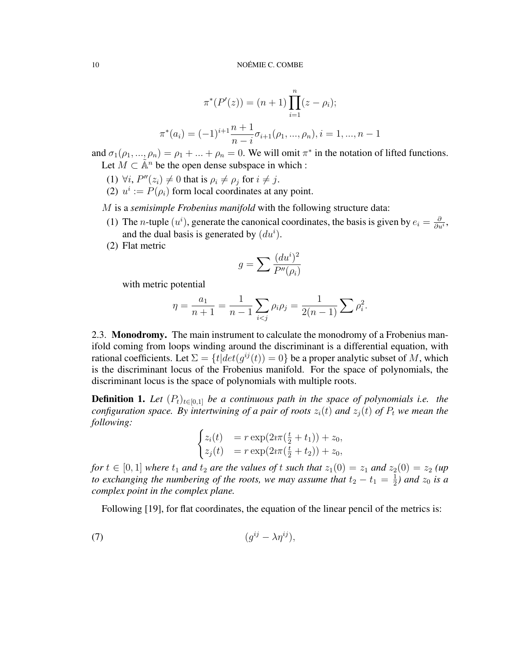$$
\pi^*(P'(z)) = (n+1) \prod_{i=1}^n (z - \rho_i);
$$
  

$$
\pi^*(a_i) = (-1)^{i+1} \frac{n+1}{n-i} \sigma_{i+1}(\rho_1, ..., \rho_n), i = 1, ..., n-1
$$

and  $\sigma_1(\rho_1, ..., \rho_n) = \rho_1 + ... + \rho_n = 0$ . We will omit  $\pi^*$  in the notation of lifted functions. Let  $M \subset \tilde{\mathbb{A}}^n$  be the open dense subspace in which :

- (1)  $\forall i$ ,  $P''(z_i) \neq 0$  that is  $\rho_i \neq \rho_j$  for  $i \neq j$ .
- (2)  $u^i := P(\rho_i)$  form local coordinates at any point.

M is a *semisimple Frobenius manifold* with the following structure data:

- (1) The *n*-tuple  $(u^i)$ , generate the canonical coordinates, the basis is given by  $e_i = \frac{\partial}{\partial u_i}$  $\frac{\partial}{\partial u^i},$ and the dual basis is generated by  $(du^i)$ .
- (2) Flat metric

$$
g = \sum \frac{(du^i)^2}{P''(\rho_i)}
$$

with metric potential

$$
\eta = \frac{a_1}{n+1} = \frac{1}{n-1} \sum_{i < j} \rho_i \rho_j = \frac{1}{2(n-1)} \sum \rho_i^2.
$$

2.3. **Monodromy.** The main instrument to calculate the monodromy of a Frobenius manifold coming from loops winding around the discriminant is a differential equation, with rational coefficients. Let  $\Sigma = \{t | det(g^{ij}(t)) = 0\}$  be a proper analytic subset of M, which is the discriminant locus of the Frobenius manifold. For the space of polynomials, the discriminant locus is the space of polynomials with multiple roots.

**Definition 1.** Let  $(P_t)_{t\in[0,1]}$  be a continuous path in the space of polynomials i.e. the *configuration space. By intertwining of a pair of roots*  $z_i(t)$  *and*  $z_j(t)$  *of*  $P_t$  *we mean the following:*

$$
\begin{cases} z_i(t) & = r \exp(2i\pi(\frac{t}{2} + t_1)) + z_0, \\ z_j(t) & = r \exp(2i\pi(\frac{t}{2} + t_2)) + z_0, \end{cases}
$$

*for*  $t \in [0, 1]$  *where*  $t_1$  *and*  $t_2$  *are the values of* t *such that*  $z_1(0) = z_1$  *and*  $z_2(0) = z_2$  *(up to exchanging the numbering of the roots, we may assume that*  $t_2 - t_1 = \frac{1}{2}$  $rac{1}{2}$ ) and  $z_0$  is a *complex point in the complex plane.*

Following [19], for flat coordinates, the equation of the linear pencil of the metrics is:

$$
(7) \t\t\t\t(g^{ij}-\lambda\eta^{ij}),
$$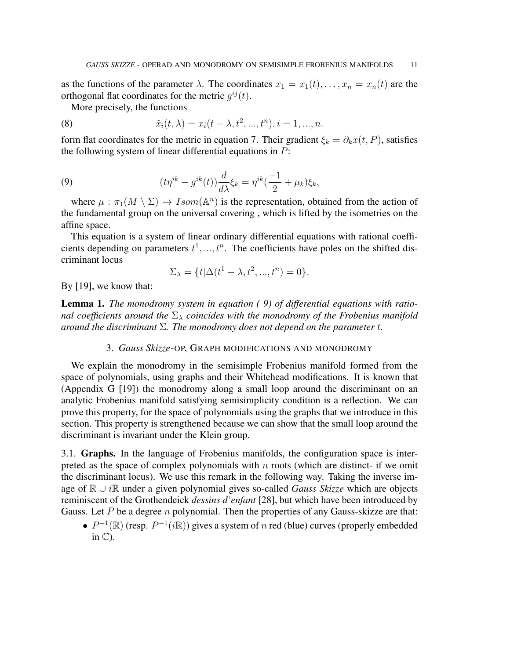as the functions of the parameter  $\lambda$ . The coordinates  $x_1 = x_1(t), \ldots, x_n = x_n(t)$  are the orthogonal flat coordinates for the metric  $g^{ij}(t)$ .

More precisely, the functions

(8) 
$$
\tilde{x}_i(t,\lambda) = x_i(t-\lambda, t^2, ..., t^n), i = 1, ..., n.
$$

form flat coordinates for the metric in equation 7. Their gradient  $\xi_k = \partial_k x(t, P)$ , satisfies the following system of linear differential equations in  $P$ :

(9) 
$$
(t\eta^{ik} - g^{ik}(t))\frac{d}{d\lambda}\xi_k = \eta^{ik}(\frac{-1}{2} + \mu_k)\xi_k,
$$

where  $\mu : \pi_1(M \setminus \Sigma) \to \text{Isom}(\mathbb{A}^n)$  is the representation, obtained from the action of the fundamental group on the universal covering , which is lifted by the isometries on the affine space.

This equation is a system of linear ordinary differential equations with rational coefficients depending on parameters  $t^1, ..., t^n$ . The coefficients have poles on the shifted discriminant locus

$$
\Sigma_{\lambda} = \{t | \Delta(t^1 - \lambda, t^2, ..., t^n) = 0\}.
$$

By [19], we know that:

Lemma 1. *The monodromy system in equation ( 9) of differential equations with rational coefficients around the*  $\Sigma_{\lambda}$  *coincides with the monodromy of the Frobenius manifold around the discriminant* Σ*. The monodromy does not depend on the parameter* t*.*

# 3. *Gauss Skizze*-OP, GRAPH MODIFICATIONS AND MONODROMY

We explain the monodromy in the semisimple Frobenius manifold formed from the space of polynomials, using graphs and their Whitehead modifications. It is known that (Appendix G [19]) the monodromy along a small loop around the discriminant on an analytic Frobenius manifold satisfying semisimplicity condition is a reflection. We can prove this property, for the space of polynomials using the graphs that we introduce in this section. This property is strengthened because we can show that the small loop around the discriminant is invariant under the Klein group.

3.1. Graphs. In the language of Frobenius manifolds, the configuration space is interpreted as the space of complex polynomials with  $n$  roots (which are distinct- if we omit the discriminant locus). We use this remark in the following way. Taking the inverse image of R ∪ iR under a given polynomial gives so-called *Gauss Skizze* which are objects reminiscent of the Grothendeick *dessins d'enfant* [28], but which have been introduced by Gauss. Let P be a degree n polynomial. Then the properties of any Gauss-skizze are that:

•  $P^{-1}(\mathbb{R})$  (resp.  $P^{-1}(i\mathbb{R})$ ) gives a system of n red (blue) curves (properly embedded in  $\mathbb{C}$ ).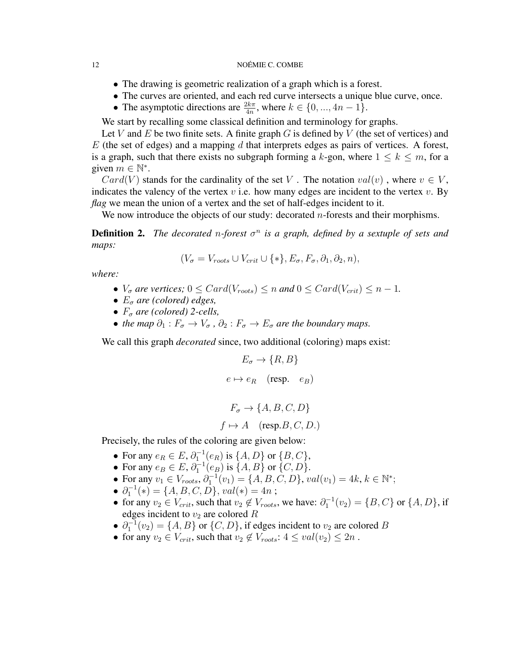- The drawing is geometric realization of a graph which is a forest.
- The curves are oriented, and each red curve intersects a unique blue curve, once.
- The asymptotic directions are  $\frac{2k\pi}{4n}$ , where  $k \in \{0, ..., 4n-1\}$ .

We start by recalling some classical definition and terminology for graphs.

Let V and E be two finite sets. A finite graph G is defined by V (the set of vertices) and  $E$  (the set of edges) and a mapping d that interprets edges as pairs of vertices. A forest, is a graph, such that there exists no subgraph forming a k-gon, where  $1 \leq k \leq m$ , for a given  $m \in \mathbb{N}^*$ .

 $Card(V)$  stands for the cardinality of the set V. The notation  $val(v)$ , where  $v \in V$ , indicates the valency of the vertex  $v$  i.e. how many edges are incident to the vertex  $v$ . By *flag* we mean the union of a vertex and the set of half-edges incident to it.

We now introduce the objects of our study: decorated  $n$ -forests and their morphisms.

**Definition 2.** The decorated n-forest  $\sigma^n$  is a graph, defined by a sextuple of sets and *maps:*

$$
(V_{\sigma} = V_{roots} \cup V_{crit} \cup \{*\}, E_{\sigma}, F_{\sigma}, \partial_1, \partial_2, n),
$$

*where:*

- $V_{\sigma}$  *are vertices;*  $0 \leq Card(V_{roots}) \leq n$  *and*  $0 \leq Card(V_{crit}) \leq n-1$ *.*
- $E_{\sigma}$  are (colored) edges,
- $F_{\sigma}$  *are (colored)* 2-cells,
- *the map*  $\partial_1 : F_\sigma \to V_\sigma$ ,  $\partial_2 : F_\sigma \to E_\sigma$  *are the boundary maps.*

We call this graph *decorated* since, two additional (coloring) maps exist:

$$
E_{\sigma} \rightarrow \{R, B\}
$$
  

$$
e \mapsto e_R \quad (\text{resp.} \quad e_B)
$$
  

$$
F_{\sigma} \rightarrow \{A, B, C, D\}
$$

 $f \mapsto A$  (resp.B, C, D.)

Precisely, the rules of the coloring are given below:

- For any  $e_R \in E$ ,  $\partial_1^{-1}(e_R)$  is  $\{A, D\}$  or  $\{B, C\}$ ,
- For any  $e_B \in E$ ,  $\partial_1^{-1}(e_B)$  is  $\{A, B\}$  or  $\{C, D\}$ .
- For any  $v_1 \in V_{roots}, \partial_1^{-1}(v_1) = \{A, B, C, D\}, val(v_1) = 4k, k \in \mathbb{N}^*;$
- $\partial_1^{-1}(*) = \{A, B, C, D\}, \text{val}(*) = 4n;$
- for any  $v_2 \in V_{crit}$ , such that  $v_2 \notin V_{roots}$ , we have:  $\partial_1^{-1}(v_2) = \{B, C\}$  or  $\{A, D\}$ , if edges incident to  $v_2$  are colored  $R$
- $\partial_1^{-1}(v_2) = \{A, B\}$  or  $\{C, D\}$ , if edges incident to  $v_2$  are colored B
- for any  $v_2 \in V_{crit}$ , such that  $v_2 \notin V_{roots}$ :  $4 \leq val(v_2) \leq 2n$ .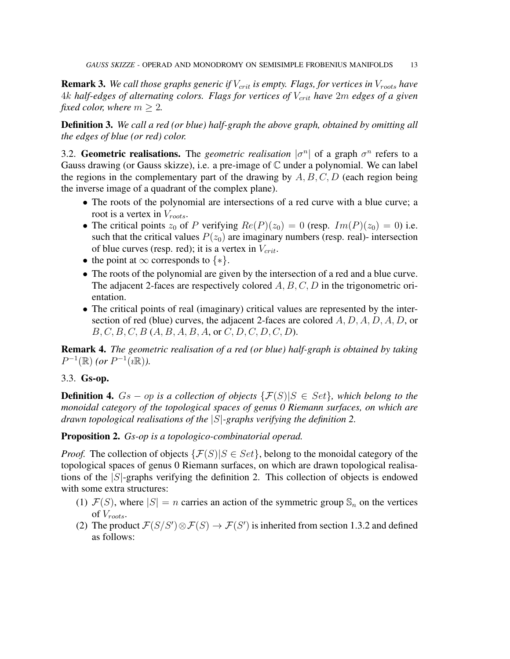**Remark 3.** We call those graphs generic if  $V_{crit}$  is empty. Flags, for vertices in  $V_{roots}$  have 4k *half-edges of alternating colors. Flags for vertices of*  $V_{crit}$  *have 2m edges of a given fixed color, where*  $m > 2$ .

Definition 3. *We call a red (or blue) half-graph the above graph, obtained by omitting all the edges of blue (or red) color.*

3.2. Geometric realisations. The *geometric realisation*  $|\sigma^n|$  of a graph  $\sigma^n$  refers to a Gauss drawing (or Gauss skizze), i.e. a pre-image of  $\mathbb C$  under a polynomial. We can label the regions in the complementary part of the drawing by  $A, B, C, D$  (each region being the inverse image of a quadrant of the complex plane).

- The roots of the polynomial are intersections of a red curve with a blue curve; a root is a vertex in  $V_{roots}$ .
- The critical points  $z_0$  of P verifying  $Re(P)(z_0) = 0$  (resp.  $Im(P)(z_0) = 0$ ) i.e. such that the critical values  $P(z_0)$  are imaginary numbers (resp. real)- intersection of blue curves (resp. red); it is a vertex in  $V_{crit}$ .
- the point at  $\infty$  corresponds to  $\{*\}.$
- The roots of the polynomial are given by the intersection of a red and a blue curve. The adjacent 2-faces are respectively colored  $A, B, C, D$  in the trigonometric orientation.
- The critical points of real (imaginary) critical values are represented by the intersection of red (blue) curves, the adjacent 2-faces are colored  $A, D, A, D, A, D$ , or  $B, C, B, C, B$   $(A, B, A, B, A,$  or  $C, D, C, D, C, D)$ .

Remark 4. *The geometric realisation of a red (or blue) half-graph is obtained by taking*  $P^{-1}(\mathbb{R})$  *(or*  $P^{-1}(i\mathbb{R})$ *).* 

# 3.3. Gs-op.

**Definition 4.**  $Gs - op$  *is a collection of objects*  $\{F(S)|S \in Set\}$ *, which belong to the monoidal category of the topological spaces of genus 0 Riemann surfaces, on which are drawn topological realisations of the* |S|*-graphs verifying the definition 2.*

# Proposition 2. *Gs-op is a topologico-combinatorial operad.*

*Proof.* The collection of objects  $\{\mathcal{F}(S)|S \in Set\}$ , belong to the monoidal category of the topological spaces of genus 0 Riemann surfaces, on which are drawn topological realisations of the  $|S|$ -graphs verifying the definition 2. This collection of objects is endowed with some extra structures:

- (1)  $\mathcal{F}(S)$ , where  $|S| = n$  carries an action of the symmetric group  $\mathbb{S}_n$  on the vertices of  $V_{roots}$ .
- (2) The product  $\mathcal{F}(S/S') \otimes \mathcal{F}(S) \to \mathcal{F}(S')$  is inherited from section 1.3.2 and defined as follows: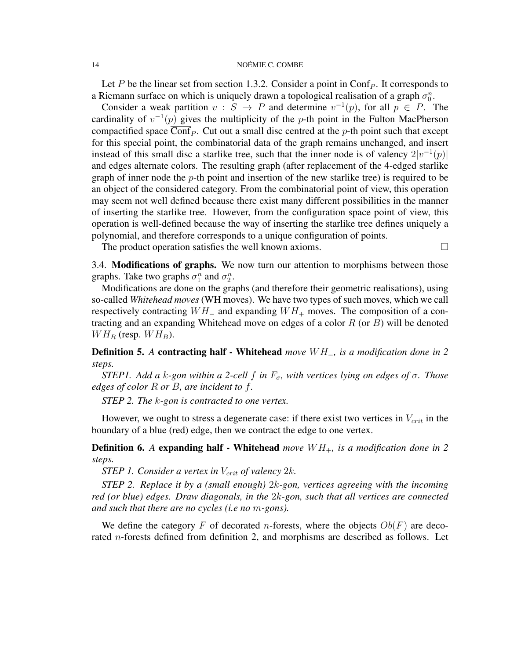Let P be the linear set from section 1.3.2. Consider a point in  $\text{Conf}_P$ . It corresponds to a Riemann surface on which is uniquely drawn a topological realisation of a graph  $\sigma_0^n$ .

Consider a weak partition  $v : S \to P$  and determine  $v^{-1}(p)$ , for all  $p \in P$ . The cardinality of  $v^{-1}(p)$  gives the multiplicity of the p-th point in the Fulton MacPherson compactified space  $\overline{\text{Conf}}_P$ . Cut out a small disc centred at the p-th point such that except for this special point, the combinatorial data of the graph remains unchanged, and insert instead of this small disc a starlike tree, such that the inner node is of valency  $2|v^{-1}(p)|$ and edges alternate colors. The resulting graph (after replacement of the 4-edged starlike graph of inner node the  $p$ -th point and insertion of the new starlike tree) is required to be an object of the considered category. From the combinatorial point of view, this operation may seem not well defined because there exist many different possibilities in the manner of inserting the starlike tree. However, from the configuration space point of view, this operation is well-defined because the way of inserting the starlike tree defines uniquely a polynomial, and therefore corresponds to a unique configuration of points.

The product operation satisfies the well known axioms.  $\Box$ 

3.4. Modifications of graphs. We now turn our attention to morphisms between those graphs. Take two graphs  $\sigma_1^n$  and  $\sigma_2^n$ .

Modifications are done on the graphs (and therefore their geometric realisations), using so-called *Whitehead moves* (WH moves). We have two types of such moves, which we call respectively contracting  $WH_$  and expanding  $WH_+$  moves. The composition of a contracting and an expanding Whitehead move on edges of a color  $R$  (or  $B$ ) will be denoted  $WH<sub>R</sub>$  (resp.  $WH<sub>B</sub>$ ).

Definition 5. *A* contracting half - Whitehead *move* W H−*, is a modification done in 2 steps.*

*STEP1. Add a k-gon within a 2-cell f in*  $F_{\sigma}$ *, with vertices lying on edges of σ. Those edges of color* R *or* B*, are incident to* f*.*

*STEP 2. The* k*-gon is contracted to one vertex.*

However, we ought to stress a degenerate case: if there exist two vertices in  $V_{crit}$  in the boundary of a blue (red) edge, then we contract the edge to one vertex.

**Definition 6.** A expanding half - Whitehead *move*  $WH_+$ , is a modification done in 2 *steps.*

*STEP 1. Consider a vertex in*  $V_{crit}$  *of valency* 2k.

*STEP 2. Replace it by a (small enough)* 2k*-gon, vertices agreeing with the incoming red (or blue) edges. Draw diagonals, in the* 2k*-gon, such that all vertices are connected and such that there are no cycles (i.e no* m*-gons).*

We define the category F of decorated n-forests, where the objects  $Ob(F)$  are decorated n-forests defined from definition 2, and morphisms are described as follows. Let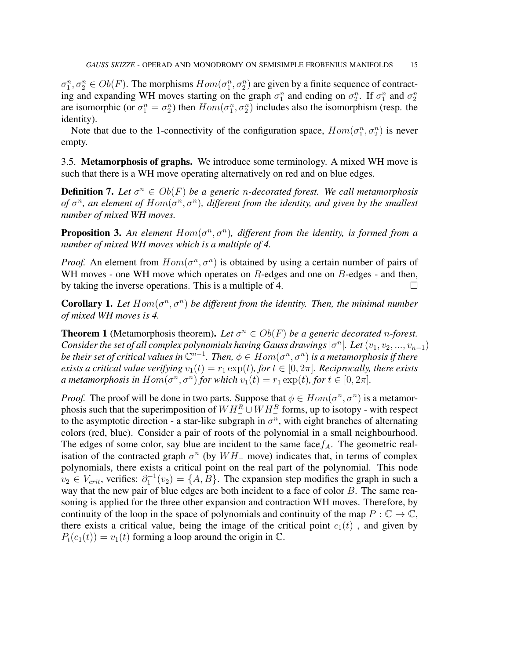$\sigma_1^n, \sigma_2^n \in Ob(F)$ . The morphisms  $Hom(\sigma_1^n, \sigma_2^n)$  are given by a finite sequence of contracting and expanding WH moves starting on the graph  $\sigma_1^n$  and ending on  $\sigma_2^n$ . If  $\sigma_1^n$  and  $\sigma_2^n$ are isomorphic (or  $\sigma_1^n = \sigma_2^n$ ) then  $Hom(\sigma_1^n, \sigma_2^n)$  includes also the isomorphism (resp. the identity).

Note that due to the 1-connectivity of the configuration space,  $Hom(\sigma_1^n, \sigma_2^n)$  is never empty.

3.5. **Metamorphosis of graphs.** We introduce some terminology. A mixed WH move is such that there is a WH move operating alternatively on red and on blue edges.

**Definition 7.** Let  $\sigma^n \in Ob(F)$  be a generic *n*-decorated forest. We call metamorphosis *of*  $\sigma^n$ , an element of  $Hom(\sigma^n, \sigma^n)$ , different from the identity, and given by the smallest *number of mixed WH moves.*

**Proposition 3.** An element  $Hom(\sigma^n, \sigma^n)$ , different from the identity, is formed from a *number of mixed WH moves which is a multiple of 4.*

*Proof.* An element from  $Hom(\sigma^n, \sigma^n)$  is obtained by using a certain number of pairs of WH moves - one WH move which operates on  $R$ -edges and one on  $B$ -edges - and then, by taking the inverse operations. This is a multiple of 4.  $\Box$ 

**Corollary 1.** Let  $Hom(\sigma^n, \sigma^n)$  be different from the identity. Then, the minimal number *of mixed WH moves is 4.*

**Theorem 1** (Metamorphosis theorem). Let  $\sigma^n \in Ob(F)$  be a generic decorated n-forest. *Consider the set of all complex polynomials having Gauss drawings*  $|\sigma^n|$ . Let  $(v_1, v_2, ..., v_{n-1})$ *be their set of critical values in*  $\mathbb{C}^{n-1}$ . Then,  $\phi \in Hom(\sigma^n, \sigma^n)$  *is a metamorphosis if there exists a critical value verifying*  $v_1(t) = r_1 \exp(t)$ *, for*  $t \in [0, 2\pi]$ *. Reciprocally, there exists a* metamorphosis in  $Hom(\sigma^n, \sigma^n)$  for which  $v_1(t) = r_1 \exp(t)$ , for  $t \in [0, 2\pi]$ .

*Proof.* The proof will be done in two parts. Suppose that  $\phi \in Hom(\sigma^n, \sigma^n)$  is a metamorphosis such that the superimposition of  $WH^{R}_{-} \cup WH^{B}_{-}$  forms, up to isotopy - with respect to the asymptotic direction - a star-like subgraph in  $\sigma^n$ , with eight branches of alternating colors (red, blue). Consider a pair of roots of the polynomial in a small neighbourhood. The edges of some color, say blue are incident to the same face  $f_A$ . The geometric realisation of the contracted graph  $\sigma^n$  (by  $WH_$  move) indicates that, in terms of complex polynomials, there exists a critical point on the real part of the polynomial. This node  $v_2 \in V_{crit}$ , verifies:  $\partial_1^{-1}(v_2) = \{A, B\}$ . The expansion step modifies the graph in such a way that the new pair of blue edges are both incident to a face of color  $B$ . The same reasoning is applied for the three other expansion and contraction WH moves. Therefore, by continuity of the loop in the space of polynomials and continuity of the map  $P : \mathbb{C} \to \mathbb{C}$ , there exists a critical value, being the image of the critical point  $c_1(t)$ , and given by  $P_t(c_1(t)) = v_1(t)$  forming a loop around the origin in  $\mathbb{C}$ .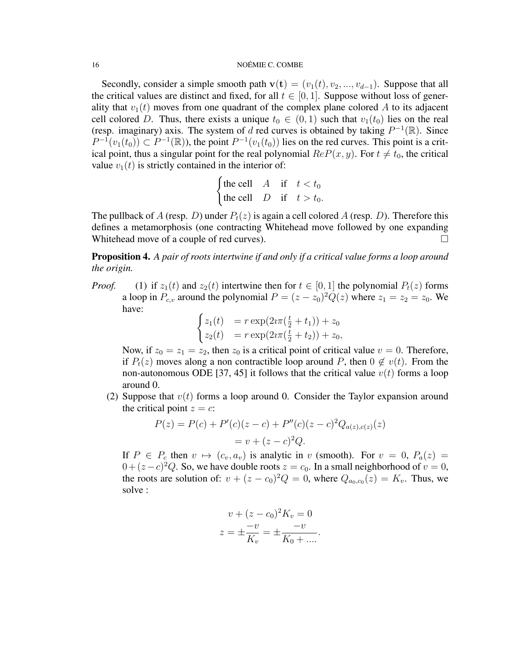Secondly, consider a simple smooth path  $\mathbf{v}(\mathbf{t}) = (v_1(t), v_2, ..., v_{d-1})$ . Suppose that all the critical values are distinct and fixed, for all  $t \in [0, 1]$ . Suppose without loss of generality that  $v_1(t)$  moves from one quadrant of the complex plane colored A to its adjacent cell colored D. Thus, there exists a unique  $t_0 \in (0,1)$  such that  $v_1(t_0)$  lies on the real (resp. imaginary) axis. The system of d red curves is obtained by taking  $P^{-1}(\mathbb{R})$ . Since  $P^{-1}(v_1(t_0)) \subset P^{-1}(\mathbb{R})$ , the point  $P^{-1}(v_1(t_0))$  lies on the red curves. This point is a critical point, thus a singular point for the real polynomial  $ReP(x, y)$ . For  $t \neq t_0$ , the critical value  $v_1(t)$  is strictly contained in the interior of:

$$
\begin{cases} \text{the cell} & A \quad \text{if} \quad t < t_0 \\ \text{the cell} & D \quad \text{if} \quad t > t_0. \end{cases}
$$

The pullback of A (resp. D) under  $P_t(z)$  is again a cell colored A (resp. D). Therefore this defines a metamorphosis (one contracting Whitehead move followed by one expanding Whitehead move of a couple of red curves).

Proposition 4. *A pair of roots intertwine if and only if a critical value forms a loop around the origin.*

*Proof.* (1) if  $z_1(t)$  and  $z_2(t)$  intertwine then for  $t \in [0, 1]$  the polynomial  $P_t(z)$  forms a loop in  $P_{c,v}$  around the polynomial  $P = (z - z_0)^2 Q(z)$  where  $z_1 = z_2 = z_0$ . We have:

$$
\begin{cases}\nz_1(t) &= r \exp(2i\pi(\frac{t}{2} + t_1)) + z_0 \\
z_2(t) &= r \exp(2i\pi(\frac{t}{2} + t_2)) + z_0,\n\end{cases}
$$

Now, if  $z_0 = z_1 = z_2$ , then  $z_0$  is a critical point of critical value  $v = 0$ . Therefore, if  $P_t(z)$  moves along a non contractible loop around P, then  $0 \notin v(t)$ . From the non-autonomous ODE [37, 45] it follows that the critical value  $v(t)$  forms a loop around 0.

(2) Suppose that  $v(t)$  forms a loop around 0. Consider the Taylor expansion around the critical point  $z = c$ :

$$
P(z) = P(c) + P'(c)(z - c) + P''(c)(z - c)^{2}Q_{a(z),c(z)}(z)
$$
  
=  $v + (z - c)^{2}Q$ .

If  $P \in P_c$  then  $v \mapsto (c_v, a_v)$  is analytic in v (smooth). For  $v = 0$ ,  $P_a(z) =$  $0 + (z - c)^2 Q$ . So, we have double roots  $z = c_0$ . In a small neighborhood of  $v = 0$ , the roots are solution of:  $v + (z - c_0)^2 Q = 0$ , where  $Q_{a_0, c_0}(z) = K_v$ . Thus, we solve :

$$
v + (z - c_0)^2 K_v = 0
$$
  

$$
z = \pm \frac{-v}{K_v} = \pm \frac{-v}{K_0 + \dots}.
$$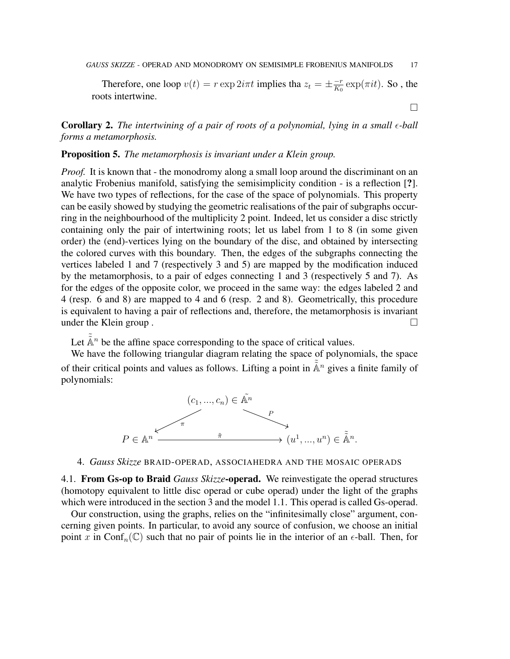Therefore, one loop  $v(t) = r \exp 2i\pi t$  implies tha  $z_t = \pm \frac{-r}{K_0}$  $\frac{-r}{K_0} \exp(\pi i t)$ . So , the roots intertwine.

 $\Box$ 

Corollary 2. *The intertwining of a pair of roots of a polynomial, lying in a small -ball forms a metamorphosis.*

# Proposition 5. *The metamorphosis is invariant under a Klein group.*

*Proof.* It is known that - the monodromy along a small loop around the discriminant on an analytic Frobenius manifold, satisfying the semisimplicity condition - is a reflection [?]. We have two types of reflections, for the case of the space of polynomials. This property can be easily showed by studying the geometric realisations of the pair of subgraphs occurring in the neighbourhood of the multiplicity 2 point. Indeed, let us consider a disc strictly containing only the pair of intertwining roots; let us label from 1 to 8 (in some given order) the (end)-vertices lying on the boundary of the disc, and obtained by intersecting the colored curves with this boundary. Then, the edges of the subgraphs connecting the vertices labeled 1 and 7 (respectively 3 and 5) are mapped by the modification induced by the metamorphosis, to a pair of edges connecting 1 and 3 (respectively 5 and 7). As for the edges of the opposite color, we proceed in the same way: the edges labeled 2 and 4 (resp. 6 and 8) are mapped to 4 and 6 (resp. 2 and 8). Geometrically, this procedure is equivalent to having a pair of reflections and, therefore, the metamorphosis is invariant under the Klein group.

Let  $\tilde{\mathbb{A}}^n$  be the affine space corresponding to the space of critical values.

We have the following triangular diagram relating the space of polynomials, the space of their critical points and values as follows. Lifting a point in  $\tilde{A}^n$  gives a finite family of polynomials:



4. *Gauss Skizze* BRAID-OPERAD, ASSOCIAHEDRA AND THE MOSAIC OPERADS

4.1. From Gs-op to Braid *Gauss Skizze*-operad. We reinvestigate the operad structures (homotopy equivalent to little disc operad or cube operad) under the light of the graphs which were introduced in the section 3 and the model 1.1. This operad is called Gs-operad.

Our construction, using the graphs, relies on the "infinitesimally close" argument, concerning given points. In particular, to avoid any source of confusion, we choose an initial point x in Conf<sub>n</sub>( $\mathbb{C}$ ) such that no pair of points lie in the interior of an  $\epsilon$ -ball. Then, for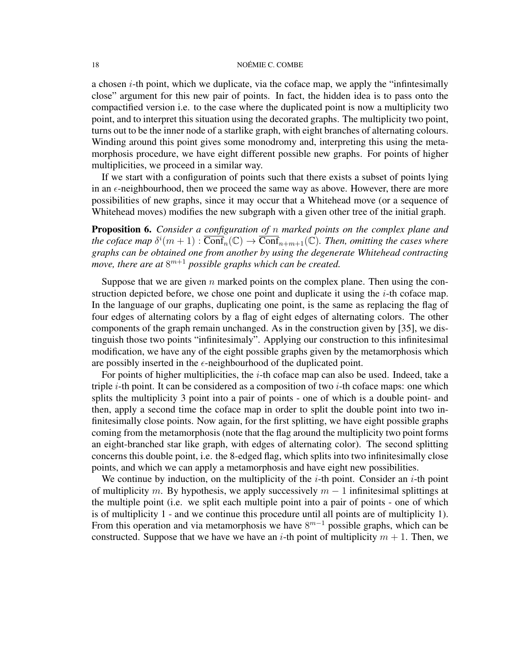a chosen  $i$ -th point, which we duplicate, via the coface map, we apply the "infinitesimally close" argument for this new pair of points. In fact, the hidden idea is to pass onto the compactified version i.e. to the case where the duplicated point is now a multiplicity two point, and to interpret this situation using the decorated graphs. The multiplicity two point, turns out to be the inner node of a starlike graph, with eight branches of alternating colours. Winding around this point gives some monodromy and, interpreting this using the metamorphosis procedure, we have eight different possible new graphs. For points of higher multiplicities, we proceed in a similar way.

If we start with a configuration of points such that there exists a subset of points lying in an  $\epsilon$ -neighbourhood, then we proceed the same way as above. However, there are more possibilities of new graphs, since it may occur that a Whitehead move (or a sequence of Whitehead moves) modifies the new subgraph with a given other tree of the initial graph.

Proposition 6. *Consider a configuration of* n *marked points on the complex plane and* the coface map  $\delta^{i}(m+1)$  :  $\overline{\text{Conf}}_n(\mathbb{C}) \to \overline{\text{Conf}}_{n+m+1}(\mathbb{C})$ *. Then, omitting the cases where graphs can be obtained one from another by using the degenerate Whitehead contracting* move, there are at  $8^{m+1}$  possible graphs which can be created.

Suppose that we are given  $n$  marked points on the complex plane. Then using the construction depicted before, we chose one point and duplicate it using the  $i$ -th coface map. In the language of our graphs, duplicating one point, is the same as replacing the flag of four edges of alternating colors by a flag of eight edges of alternating colors. The other components of the graph remain unchanged. As in the construction given by [35], we distinguish those two points "infinitesimaly". Applying our construction to this infinitesimal modification, we have any of the eight possible graphs given by the metamorphosis which are possibly inserted in the  $\epsilon$ -neighbourhood of the duplicated point.

For points of higher multiplicities, the  $i$ -th coface map can also be used. Indeed, take a triple  $i$ -th point. It can be considered as a composition of two  $i$ -th coface maps: one which splits the multiplicity 3 point into a pair of points - one of which is a double point- and then, apply a second time the coface map in order to split the double point into two infinitesimally close points. Now again, for the first splitting, we have eight possible graphs coming from the metamorphosis (note that the flag around the multiplicity two point forms an eight-branched star like graph, with edges of alternating color). The second splitting concerns this double point, i.e. the 8-edged flag, which splits into two infinitesimally close points, and which we can apply a metamorphosis and have eight new possibilities.

We continue by induction, on the multiplicity of the  $i$ -th point. Consider an  $i$ -th point of multiplicity m. By hypothesis, we apply successively  $m - 1$  infinitesimal splittings at the multiple point (i.e. we split each multiple point into a pair of points - one of which is of multiplicity 1 - and we continue this procedure until all points are of multiplicity 1). From this operation and via metamorphosis we have  $8^{m-1}$  possible graphs, which can be constructed. Suppose that we have we have an *i*-th point of multiplicity  $m + 1$ . Then, we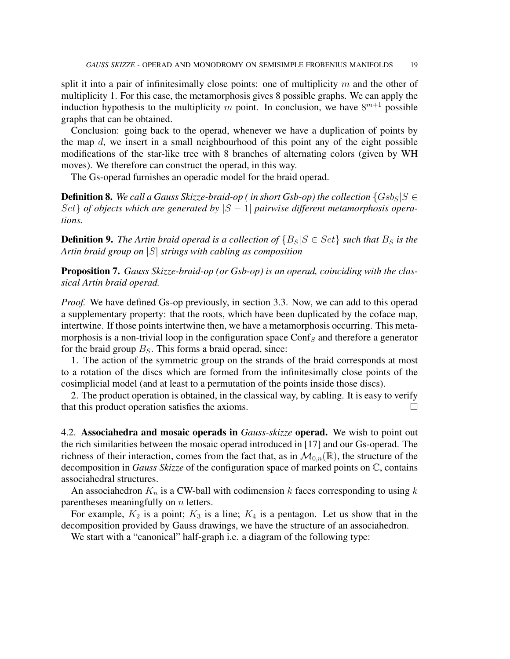split it into a pair of infinitesimally close points: one of multiplicity  $m$  and the other of multiplicity 1. For this case, the metamorphosis gives 8 possible graphs. We can apply the induction hypothesis to the multiplicity m point. In conclusion, we have  $8^{m+1}$  possible graphs that can be obtained.

Conclusion: going back to the operad, whenever we have a duplication of points by the map  $d$ , we insert in a small neighbourhood of this point any of the eight possible modifications of the star-like tree with 8 branches of alternating colors (given by WH moves). We therefore can construct the operad, in this way.

The Gs-operad furnishes an operadic model for the braid operad.

**Definition 8.** We call a Gauss Skizze-braid-op ( in short Gsb-op) the collection  $\{Gsb_S|S \in$ Set} of objects which are generated by  $|S - 1|$  pairwise different metamorphosis opera*tions.*

**Definition 9.** The Artin braid operad is a collection of  $\{B_S | S \in Set\}$  such that  $B_S$  is the *Artin braid group on* |S| *strings with cabling as composition*

Proposition 7. *Gauss Skizze-braid-op (or Gsb-op) is an operad, coinciding with the classical Artin braid operad.*

*Proof.* We have defined Gs-op previously, in section 3.3. Now, we can add to this operad a supplementary property: that the roots, which have been duplicated by the coface map, intertwine. If those points intertwine then, we have a metamorphosis occurring. This metamorphosis is a non-trivial loop in the configuration space Conf<sub>S</sub> and therefore a generator for the braid group  $B<sub>S</sub>$ . This forms a braid operad, since:

1. The action of the symmetric group on the strands of the braid corresponds at most to a rotation of the discs which are formed from the infinitesimally close points of the cosimplicial model (and at least to a permutation of the points inside those discs).

2. The product operation is obtained, in the classical way, by cabling. It is easy to verify that this product operation satisfies the axioms.

4.2. Associahedra and mosaic operads in *Gauss-skizze* operad. We wish to point out the rich similarities between the mosaic operad introduced in [17] and our Gs-operad. The richness of their interaction, comes from the fact that, as in  $\overline{\mathcal{M}}_{0,n}(\mathbb{R})$ , the structure of the decomposition in *Gauss Skizze* of the configuration space of marked points on C, contains associahedral structures.

An associahedron  $K_n$  is a CW-ball with codimension k faces corresponding to using k parentheses meaningfully on  $n$  letters.

For example,  $K_2$  is a point;  $K_3$  is a line;  $K_4$  is a pentagon. Let us show that in the decomposition provided by Gauss drawings, we have the structure of an associahedron.

We start with a "canonical" half-graph i.e. a diagram of the following type: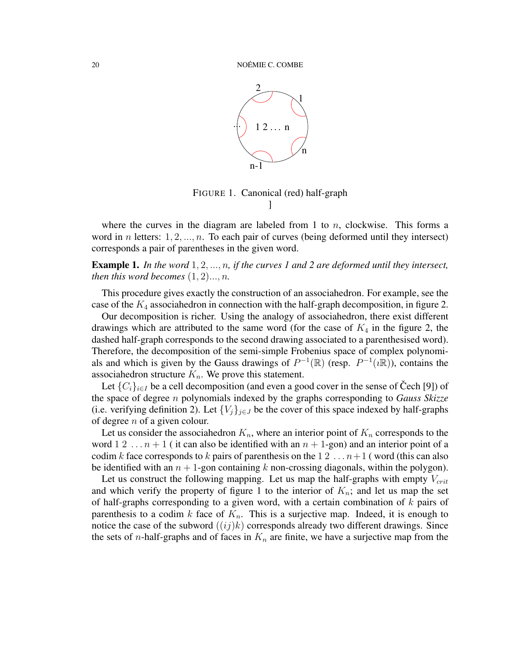

FIGURE 1. Canonical (red) half-graph ]

where the curves in the diagram are labeled from 1 to  $n$ , clockwise. This forms a word in *n* letters:  $1, 2, ..., n$ . To each pair of curves (being deformed until they intersect) corresponds a pair of parentheses in the given word.

Example 1. *In the word* 1, 2, ..., n*, if the curves 1 and 2 are deformed until they intersect, then this word becomes*  $(1, 2)$ ..., *n.* 

This procedure gives exactly the construction of an associahedron. For example, see the case of the  $K_4$  associahedron in connection with the half-graph decomposition, in figure 2.

Our decomposition is richer. Using the analogy of associahedron, there exist different drawings which are attributed to the same word (for the case of  $K_4$  in the figure 2, the dashed half-graph corresponds to the second drawing associated to a parenthesised word). Therefore, the decomposition of the semi-simple Frobenius space of complex polynomials and which is given by the Gauss drawings of  $P^{-1}(\mathbb{R})$  (resp.  $P^{-1}(\mathbb{R})$ ), contains the associahedron structure  $K_n$ . We prove this statement.

Let  $\{C_i\}_{i\in I}$  be a cell decomposition (and even a good cover in the sense of Cech [9]) of the space of degree n polynomials indexed by the graphs corresponding to *Gauss Skizze* (i.e. verifying definition 2). Let  ${V_j}_{j \in J}$  be the cover of this space indexed by half-graphs of degree  $n$  of a given colour.

Let us consider the associahedron  $K_n$ , where an interior point of  $K_n$  corresponds to the word  $1 \ 2 \ \ldots n+1$  (it can also be identified with an  $n+1$ -gon) and an interior point of a codim k face corresponds to k pairs of parenthesis on the  $1\,2\,\ldots n+1$  (word (this can also be identified with an  $n + 1$ -gon containing k non-crossing diagonals, within the polygon).

Let us construct the following mapping. Let us map the half-graphs with empty  $V_{crit}$ and which verify the property of figure 1 to the interior of  $K_n$ ; and let us map the set of half-graphs corresponding to a given word, with a certain combination of  $k$  pairs of parenthesis to a codim k face of  $K_n$ . This is a surjective map. Indeed, it is enough to notice the case of the subword  $((ij)k)$  corresponds already two different drawings. Since the sets of *n*-half-graphs and of faces in  $K_n$  are finite, we have a surjective map from the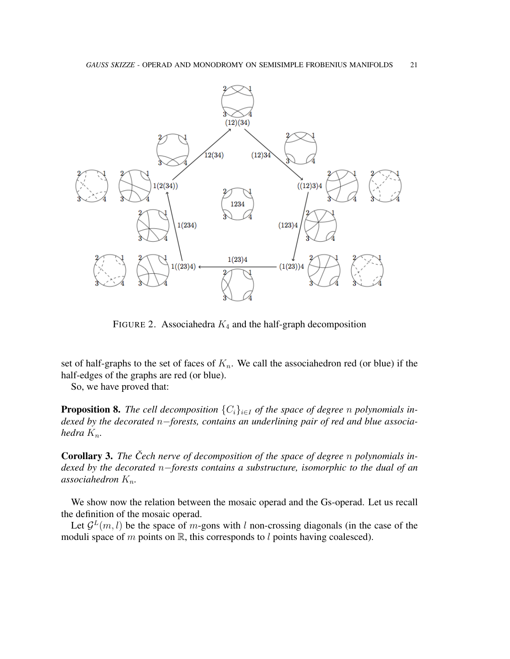

FIGURE 2. Associahedra  $K_4$  and the half-graph decomposition

set of half-graphs to the set of faces of  $K_n$ . We call the associahedron red (or blue) if the half-edges of the graphs are red (or blue).

So, we have proved that:

**Proposition 8.** *The cell decomposition*  $\{C_i\}_{i\in I}$  *of the space of degree n polynomials indexed by the decorated* n−*forests, contains an underlining pair of red and blue associahedra*  $K_n$ *.* 

**Corollary 3.** The Čech nerve of decomposition of the space of degree *n* polynomials in*dexed by the decorated* n−*forests contains a substructure, isomorphic to the dual of an associahedron*  $K_n$ *.* 

We show now the relation between the mosaic operad and the Gs-operad. Let us recall the definition of the mosaic operad.

Let  $\mathcal{G}^L(m, l)$  be the space of m-gons with l non-crossing diagonals (in the case of the moduli space of m points on  $\mathbb R$ , this corresponds to l points having coalesced).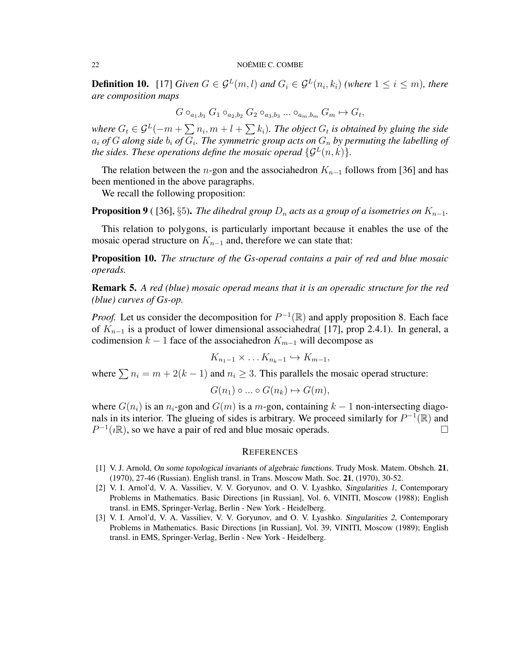**Definition 10.** [17] *Given*  $G \in \mathcal{G}^L(m, l)$  and  $G_i \in \mathcal{G}^L(n_i, k_i)$  *(where*  $1 \leq i \leq m$ *), there are composition maps*

$$
G\circ_{a_1,b_1}G_1\circ_{a_2,b_2}G_2\circ_{a_3,b_3}\dots\circ_{a_m,b_m}G_m\mapsto G_t,
$$

where  $G_t \in \mathcal{G}^L(-m+\sum n_i, m+l+\sum k_i)$ . The object  $G_t$  is obtained by gluing the side  $a_i$  of G along side  $b_i$  of  $G_i$ . The symmetric group acts on  $G_n$  by permuting the labelling of *the sides. These operations define the mosaic operad*  $\{G^L(n,k)\}.$ 

The relation between the *n*-gon and the associahedron  $K_{n-1}$  follows from [36] and has been mentioned in the above paragraphs.

We recall the following proposition:

**Proposition 9** ( [36], §5). *The dihedral group*  $D_n$  *acts as a group of a isometries on*  $K_{n-1}$ .

This relation to polygons, is particularly important because it enables the use of the mosaic operad structure on  $K_{n-1}$  and, therefore we can state that:

Proposition 10. *The structure of the Gs-operad contains a pair of red and blue mosaic operads.*

Remark 5. *A red (blue) mosaic operad means that it is an operadic structure for the red (blue) curves of Gs-op.*

*Proof.* Let us consider the decomposition for  $P^{-1}(\mathbb{R})$  and apply proposition 8. Each face of  $K_{n-1}$  is a product of lower dimensional associahedra( [17], prop 2.4.1). In general, a codimension  $k - 1$  face of the associahedron  $K_{m-1}$  will decompose as

$$
K_{n_1-1}\times\ldots K_{n_k-1}\hookrightarrow K_{m-1},
$$

where  $\sum n_i = m + 2(k - 1)$  and  $n_i \geq 3$ . This parallels the mosaic operad structure:

$$
G(n_1) \circ \dots \circ G(n_k) \mapsto G(m),
$$

where  $G(n_i)$  is an  $n_i$ -gon and  $G(m)$  is a m-gon, containing  $k-1$  non-intersecting diagonals in its interior. The glueing of sides is arbitrary. We proceed similarly for  $P^{-1}(\mathbb{R})$  and  $P^{-1}(i\mathbb{R})$ , so we have a pair of red and blue mosaic operads.

#### **REFERENCES**

- [1] V. J. Arnold, On some topological invariants of algebraic functions. Trudy Mosk. Matem. Obshch. 21, (1970), 27-46 (Russian). English transl. in Trans. Moscow Math. Soc. 21, (1970), 30-52.
- [2] V. I. Arnol'd, V. A. Vassiliev, V. V. Goryunov, and O. V. Lyashko, Singularities 1, Contemporary Problems in Mathematics. Basic Directions [in Russian], Vol. 6, VINITI, Moscow (1988); English transl. in EMS, Springer-Verlag, Berlin - New York - Heidelberg.
- [3] V. I. Arnol'd, V. A. Vassiliev, V. V. Goryunov, and O. V. Lyashko. Singularities 2, Contemporary Problems in Mathematics. Basic Directions [in Russian], Vol. 39, VINITI, Moscow (1989); English transl. in EMS, Springer-Verlag, Berlin - New York - Heidelberg.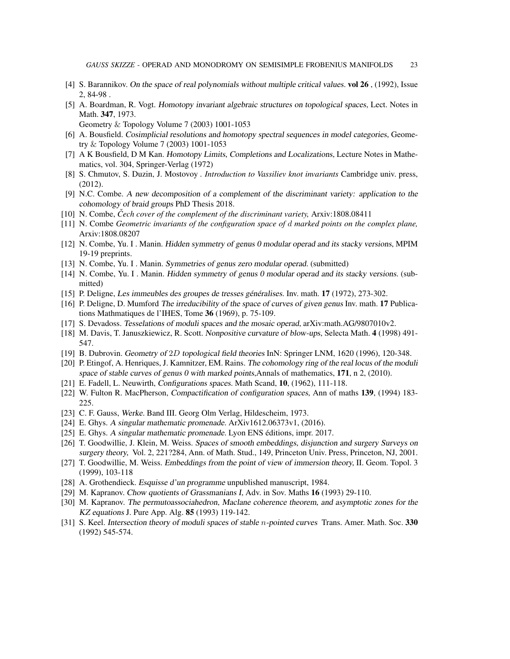- [4] S. Barannikov. On the space of real polynomials without multiple critical values. vol 26 , (1992), Issue 2, 84-98 .
- [5] A. Boardman, R. Vogt. Homotopy invariant algebraic structures on topological spaces, Lect. Notes in Math. 347, 1973.
	- Geometry & Topology Volume 7 (2003) 1001-1053
- [6] A. Bousfield. Cosimplicial resolutions and homotopy spectral sequences in model categories, Geometry & Topology Volume 7 (2003) 1001-1053
- [7] A K Bousfield, D M Kan. Homotopy Limits, Completions and Localizations, Lecture Notes in Mathematics, vol. 304, Springer-Verlag (1972)
- [8] S. Chmutov, S. Duzin, J. Mostovoy *. Introduction to Vassiliev knot invariants* Cambridge univ. press, (2012).
- [9] N.C. Combe. A new decomposition of a complement of the discriminant variety: application to the cohomology of braid groups PhD Thesis 2018.
- [10] N. Combe, *Cech cover of the complement of the discriminant variety, ˇ* Arxiv:1808.08411
- [11] N. Combe *Geometric invariants of the configuration space of* d *marked points on the complex plane,* Arxiv:1808.08207
- [12] N. Combe, Yu. I . Manin. Hidden symmetry of genus 0 modular operad and its stacky versions, MPIM 19-19 preprints.
- [13] N. Combe, Yu. I . Manin. Symmetries of genus zero modular operad. (submitted)
- [14] N. Combe, Yu. I . Manin. Hidden symmetry of genus 0 modular operad and its stacky versions. (submitted)
- [15] P. Deligne, Les immeubles des groupes de tresses généralises. Inv. math. 17 (1972), 273-302.
- [16] P. Deligne, D. Mumford The irreducibility of the space of curves of given genus Inv. math. 17 Publications Mathmatiques de l'IHES, Tome 36 (1969), p. 75-109.
- [17] S. Devadoss. Tesselations of moduli spaces and the mosaic operad, arXiv:math.AG/9807010v2.
- [18] M. Davis, T. Januszkiewicz, R. Scott. Nonpositive curvature of blow-ups, Selecta Math. 4 (1998) 491- 547.
- [19] B. Dubrovin. Geometry of 2D topological field theories InN: Springer LNM, 1620 (1996), 120-348.
- [20] P. Etingof, A. Henriques, J. Kamnitzer, EM. Rains. The cohomology ring of the real locus of the moduli space of stable curves of genus 0 with marked points, Annals of mathematics,  $171$ , n 2, (2010).
- [21] E. Fadell, L. Neuwirth, Configurations spaces. Math Scand, 10, (1962), 111-118.
- [22] W. Fulton R. MacPherson, Compactification of configuration spaces, Ann of maths 139, (1994) 183- 225.
- [23] C. F. Gauss, Werke. Band III. Georg Olm Verlag, Hildescheim, 1973.
- [24] E. Ghys. A singular mathematic promenade. ArXiv1612.06373v1, (2016).
- [25] E. Ghys. A singular mathematic promenade. Lyon ENS éditions, impr. 2017.
- [26] T. Goodwillie, J. Klein, M. Weiss. Spaces of smooth embeddings, disjunction and surgery Surveys on surgery theory, Vol. 2, 221?284, Ann. of Math. Stud., 149, Princeton Univ. Press, Princeton, NJ, 2001.
- [27] T. Goodwillie, M. Weiss. Embeddings from the point of view of immersion theory, II. Geom. Topol. 3 (1999), 103-118
- [28] A. Grothendieck. Esquisse d'un programme unpublished manuscript, 1984.
- [29] M. Kapranov. Chow quotients of Grassmanians I, Adv. in Sov. Maths 16 (1993) 29-110.
- [30] M. Kapranov. The permutoassociahedron, Maclane coherence theorem, and asymptotic zones for the KZ equations J. Pure App. Alg. 85 (1993) 119-142.
- [31] S. Keel. Intersection theory of moduli spaces of stable *n*-pointed curves Trans. Amer. Math. Soc. 330 (1992) 545-574.